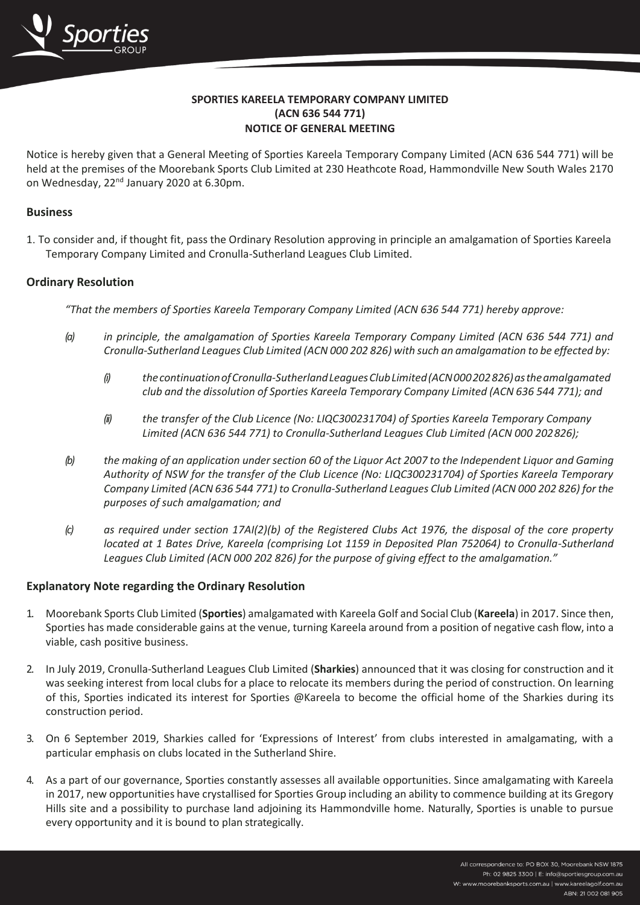

# **SPORTIES KAREELA TEMPORARY COMPANY LIMITED (ACN 636 544 771) NOTICE OF GENERAL MEETING**

Notice is hereby given that a General Meeting of Sporties Kareela Temporary Company Limited (ACN 636 544 771) will be held at the premises of the Moorebank Sports Club Limited at 230 Heathcote Road, Hammondville New South Wales 2170 on Wednesday, 22<sup>nd</sup> January 2020 at 6.30pm.

#### **Business**

1 To consider and, if thought fit, pass the Ordinary Resolution approving in principle an amalgamation of Sporties Kareela Temporary Company Limited and Cronulla-Sutherland Leagues Club Limited.

### **Ordinary Resolution**

*"That the members of Sporties Kareela Temporary Company Limited (ACN 636 544 771) hereby approve:*

- *(a) in principle, the amalgamation of Sporties Kareela Temporary Company Limited (ACN 636 544 771) and Cronulla-Sutherland Leagues Club Limited (ACN 000 202 826) with such an amalgamation to be effected by:*
	- *(i) thecontinuationofCronulla-SutherlandLeaguesClubLimited(ACN000202826)astheamalgamated club and the dissolution of Sporties Kareela Temporary Company Limited (ACN 636 544 771); and*
	- *(ii) the transfer of the Club Licence (No: LIQC300231704) of Sporties Kareela Temporary Company Limited (ACN 636 544 771) to Cronulla-Sutherland Leagues Club Limited (ACN 000 202826);*
- (b) the making of an application under section 60 of the Liquor Act 2007 to the Independent Liquor and Gaming *Authority of NSW for the transfer of the Club Licence (No: LIQC300231704) of Sporties Kareela Temporary Company Limited (ACN 636 544 771) to Cronulla-Sutherland Leagues Club Limited (ACN 000 202 826) for the purposes of such amalgamation; and*
- *(c) as required under section 17AI(2)(b) of the Registered Clubs Act 1976, the disposal of the core property located at 1 Bates Drive, Kareela (comprising Lot 1159 in Deposited Plan 752064) to Cronulla-Sutherland Leagues Club Limited (ACN 000 202 826) for the purpose of giving effect to the amalgamation."*

#### **Explanatory Note regarding the Ordinary Resolution**

- 1. Moorebank Sports Club Limited (**Sporties**) amalgamated with Kareela Golf and Social Club (**Kareela**) in 2017. Since then, Sporties has made considerable gains at the venue, turning Kareela around from a position of negative cash flow, into a viable, cash positive business.
- 2. In July 2019, Cronulla-Sutherland Leagues Club Limited (**Sharkies**) announced that it was closing for construction and it was seeking interest from local clubs for a place to relocate its members during the period of construction. On learning of this, Sporties indicated its interest for Sporties @Kareela to become the official home of the Sharkies during its construction period.
- 3. On 6 September 2019, Sharkies called for 'Expressions of Interest' from clubs interested in amalgamating, with a particular emphasis on clubs located in the Sutherland Shire.
- 4. As a part of our governance, Sporties constantly assesses all available opportunities. Since amalgamating with Kareela in 2017, new opportunities have crystallised for Sporties Group including an ability to commence building at its Gregory Hills site and a possibility to purchase land adjoining its Hammondville home. Naturally, Sporties is unable to pursue every opportunity and it is bound to plan strategically.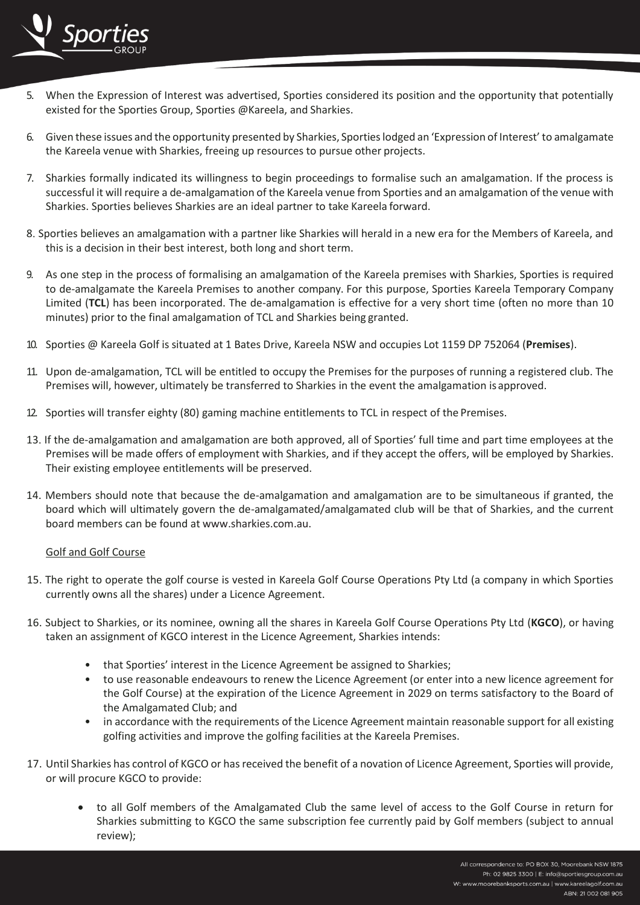

- 5. When the Expression of Interest was advertised, Sporties considered its position and the opportunity that potentially existed for the Sporties Group, Sporties @Kareela, and Sharkies.
- 6. Given these issues and the opportunity presented by Sharkies, Sportieslodged an 'Expression of Interest' to amalgamate the Kareela venue with Sharkies, freeing up resources to pursue other projects.
- 7. Sharkies formally indicated its willingness to begin proceedings to formalise such an amalgamation. If the process is successful it will require a de-amalgamation of the Kareela venue from Sporties and an amalgamation of the venue with Sharkies. Sporties believes Sharkies are an ideal partner to take Kareela forward.
- 8 Sporties believes an amalgamation with a partner like Sharkies will herald in a new era for the Members of Kareela, and this is a decision in their best interest, both long and short term.
- 9. As one step in the process of formalising an amalgamation of the Kareela premises with Sharkies, Sporties is required to de-amalgamate the Kareela Premises to another company. For this purpose, Sporties Kareela Temporary Company Limited (**TCL**) has been incorporated. The de-amalgamation is effective for a very short time (often no more than 10 minutes) prior to the final amalgamation of TCL and Sharkies being granted.
- 10. Sporties @ Kareela Golf is situated at 1 Bates Drive, Kareela NSW and occupies Lot 1159 DP 752064 (**Premises**).
- 11. Upon de-amalgamation, TCL will be entitled to occupy the Premises for the purposes of running a registered club. The Premises will, however, ultimately be transferred to Sharkies in the event the amalgamation is approved.
- 12. Sporties will transfer eighty (80) gaming machine entitlements to TCL in respect of the Premises.
- 13 If the de-amalgamation and amalgamation are both approved, all of Sporties' full time and part time employees at the Premises will be made offers of employment with Sharkies, and if they accept the offers, will be employed by Sharkies. Their existing employee entitlements will be preserved.
- 14. Members should note that because the de-amalgamation and amalgamation are to be simultaneous if granted, the board which will ultimately govern the de-amalgamated/amalgamated club will be that of Sharkies, and the current board members can be found at [www.sharkies.com.au.](http://www.sharkies.com.au/)

#### Golf and Golf Course

- 15. The right to operate the golf course is vested in Kareela Golf Course Operations Pty Ltd (a company in which Sporties currently owns all the shares) under a Licence Agreement.
- 16. Subject to Sharkies, or its nominee, owning all the shares in Kareela Golf Course Operations Pty Ltd (**KGCO**), or having taken an assignment of KGCO interest in the Licence Agreement, Sharkies intends:
	- that Sporties' interest in the Licence Agreement be assigned to Sharkies;
	- to use reasonable endeavours to renew the Licence Agreement (or enter into a new licence agreement for the Golf Course) at the expiration of the Licence Agreement in 2029 on terms satisfactory to the Board of the Amalgamated Club; and
	- in accordance with the requirements of the Licence Agreement maintain reasonable support for all existing golfing activities and improve the golfing facilities at the Kareela Premises.
- 17. Until Sharkies has control of KGCO or has received the benefit of a novation of Licence Agreement, Sporties will provide, or will procure KGCO to provide:
	- to all Golf members of the Amalgamated Club the same level of access to the Golf Course in return for Sharkies submitting to KGCO the same subscription fee currently paid by Golf members (subject to annual review);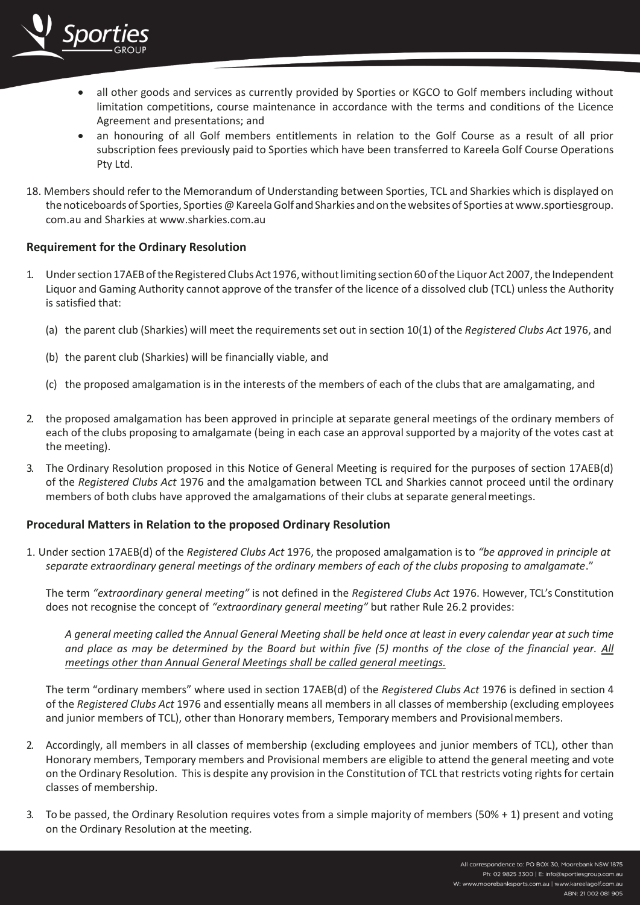

- all other goods and services as currently provided by Sporties or KGCO to Golf members including without limitation competitions, course maintenance in accordance with the terms and conditions of the Licence Agreement and presentations; and
- an honouring of all Golf members entitlements in relation to the Golf Course as a result of all prior subscription fees previously paid to Sporties which have been transferred to Kareela Golf Course Operations Pty Ltd.
- 18. Members should refer to the Memorandum of Understanding between Sporties, TCL and Sharkies which is displayed on the noticeboards of Sporties, Sporties @ Kareela Golf and Sharkies and on the websites of Sporties at www.sportiesgroup. com.au and Sharkies at [www.sharkies.com.au](http://www.sharkies.com.au/)

## **Requirement for the Ordinary Resolution**

- 1. Under section 17AEB of the Registered Clubs Act 1976, without limiting section 60 of the Liquor Act 2007, the Independent Liquor and Gaming Authority cannot approve of the transfer of the licence of a dissolved club (TCL) unless the Authority is satisfied that:
	- (a) the parent club (Sharkies) will meet the requirements set out in section 10(1) of the *Registered Clubs Act* 1976, and
	- (b) the parent club (Sharkies) will be financially viable, and
	- (c) the proposed amalgamation is in the interests of the members of each of the clubs that are amalgamating, and
- 2. the proposed amalgamation has been approved in principle at separate general meetings of the ordinary members of each of the clubs proposing to amalgamate (being in each case an approvalsupported by a majority of the votes cast at the meeting).
- 3. The Ordinary Resolution proposed in this Notice of General Meeting is required for the purposes of section 17AEB(d) of the *Registered Clubs Act* 1976 and the amalgamation between TCL and Sharkies cannot proceed until the ordinary members of both clubs have approved the amalgamations of their clubs at separate generalmeetings.

#### **Procedural Matters in Relation to the proposed Ordinary Resolution**

1 Under section 17AEB(d) of the *Registered Clubs Act* 1976, the proposed amalgamation is to *"be approved in principle at separate extraordinary general meetings of the ordinary members of each of the clubs proposing to amalgamate*."

The term *"extraordinary general meeting"* is not defined in the *Registered Clubs Act* 1976. However, TCL's Constitution does not recognise the concept of *"extraordinary general meeting"* but rather Rule 26.2 provides:

*A general meeting called the Annual General Meeting shall be held once at least in every calendar year at such time and place as may be determined by the Board but within five (5) months of the close of the financial year. All meetings other than Annual General Meetings shall be called general meetings.*

The term "ordinary members" where used in section 17AEB(d) of the *Registered Clubs Act* 1976 is defined in section 4 of the *Registered Clubs Act* 1976 and essentially means all members in all classes of membership (excluding employees and junior members of TCL), other than Honorary members, Temporary members and Provisionalmembers.

- 2. Accordingly, all members in all classes of membership (excluding employees and junior members of TCL), other than Honorary members, Temporary members and Provisional members are eligible to attend the general meeting and vote on the Ordinary Resolution. This is despite any provision in the Constitution of TCL that restricts voting rights for certain classes of membership.
- 3. To be passed, the Ordinary Resolution requires votes from a simple majority of members (50% + 1) present and voting on the Ordinary Resolution at the meeting.